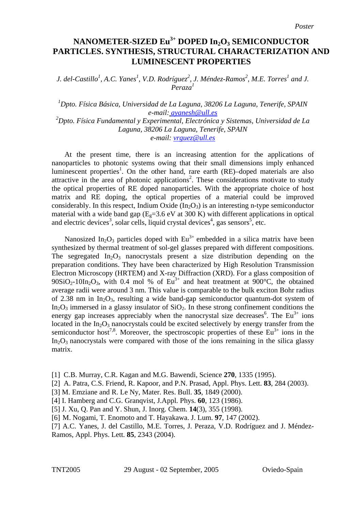## **NANOMETER-SIZED Eu3+ DOPED In2O3 SEMICONDUCTOR PARTICLES. SYNTHESIS, STRUCTURAL CHARACTERIZATION AND LUMINESCENT PROPERTIES**

*J. del-Castillo<sup>1</sup>, A.C. Yanes<sup>1</sup>, V.D. Rodríguez<sup>2</sup>, J. Méndez-Ramos<sup>2</sup>, M.E. Torres<sup>1</sup> and J. Peraza1*

*1 Dpto. Física Básica, Universidad de La Laguna, 38206 La Laguna, Tenerife, SPAIN e-mail: ayanesh@ull.es 2 Dpto. Física Fundamental y Experimental, Electrónica y Sistemas, Universidad de La Laguna, 38206 La Laguna, Tenerife, SPAIN e-mail: [vrguez@ull.es](mailto:vrguez@ull.es)*

At the present time, there is an increasing attention for the applications of nanoparticles to photonic systems owing that their small dimensions imply enhanced luminescent properties<sup>1</sup>. On the other hand, rare earth (RE)–doped materials are also attractive in the area of photonic applications<sup>2</sup>. These considerations motivate to study the optical properties of RE doped nanoparticles. With the appropriate choice of host matrix and RE doping, the optical properties of a material could be improved considerably. In this respect, Indium Oxide  $(In_2O_3)$  is an interesting n-type semiconductor material with a wide band gap  $(E_0=3.6 \text{ eV}$  at 300 K) with different applications in optical and electric devices<sup>3</sup>, solar cells, liquid crystal devices<sup>4</sup>, gas sensors<sup>5</sup>, etc.

Nanosized In<sub>2</sub>O<sub>3</sub> particles doped with  $Eu^{3+}$  embedded in a silica matrix have been synthesized by thermal treatment of sol-gel glasses prepared with different compositions. The segregated  $In_2O_3$  nanocrystals present a size distribution depending on the preparation conditions. They have been characterized by High Resolution Transmission Electron Microscopy (HRTEM) and X-ray Diffraction (XRD). For a glass composition of 90SiO<sub>2</sub>-10In<sub>2</sub>O<sub>3</sub>, with 0.4 mol % of Eu<sup>3+</sup> and heat treatment at 900°C, the obtained average radii were around 3 nm. This value is comparable to the bulk exciton Bohr radius of 2.38 nm in  $In_2O_3$ , resulting a wide band-gap semiconductor quantum-dot system of In<sub>2</sub>O<sub>3</sub> immersed in a glassy insulator of  $SiO<sub>2</sub>$ . In these strong confinement conditions the energy gap increases appreciably when the nanocrystal size decreases<sup>6</sup>. The Eu<sup>3+</sup> ions located in the  $In_2O_3$  nanocrystals could be excited selectively by energy transfer from the semiconductor host<sup>7,8</sup>. Moreover, the spectroscopic properties of these  $Eu^{3+}$  ions in the  $In_2O_3$  nanocrystals were compared with those of the ions remaining in the silica glassy matrix.

<sup>[1]</sup> C.B. Murray, C.R. Kagan and M.G. Bawendi, Science **270**, 1335 (1995).

<sup>[2]</sup> A. Patra, C.S. Friend, R. Kapoor, and P.N. Prasad, Appl. Phys. Lett. **83**, 284 (2003).

<sup>[3]</sup> M. Emziane and R. Le Ny, Mater. Res. Bull. **35**, 1849 (2000).

<sup>[4]</sup> I. Hamberg and C.G. Granqvist, J.Appl. Phys. **60**, 123 (1986).

<sup>[5]</sup> J. Xu, Q. Pan and Y. Shun, J. Inorg. Chem. **14**(3), 355 (1998).

<sup>[6]</sup> M. Nogami, T. Enomoto and T. Hayakawa. J. Lum. **97**, 147 (2002).

<sup>[7]</sup> A.C. Yanes, J. del Castillo, M.E. Torres, J. Peraza, V.D. Rodríguez and J. Méndez-Ramos, Appl. Phys. Lett. **85**, 2343 (2004).